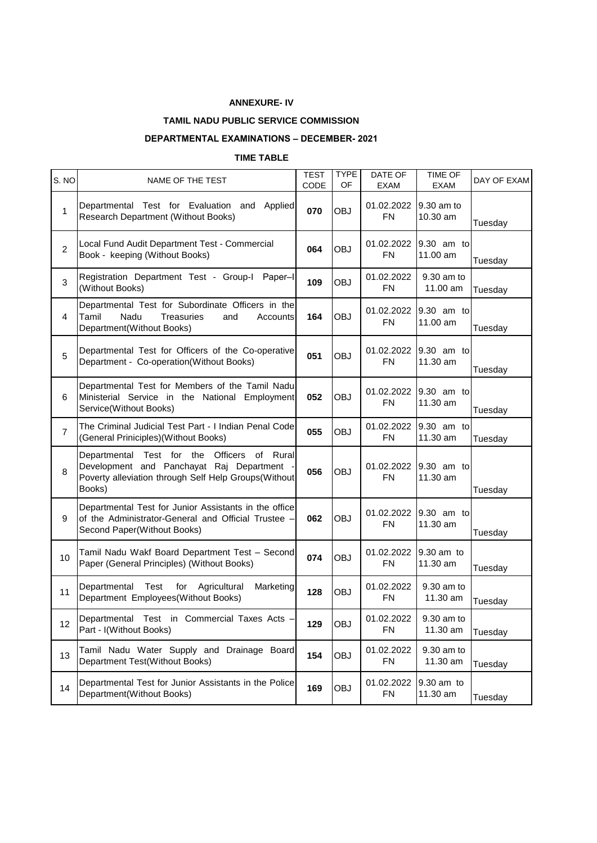## **ANNEXURE- IV**

## **TAMIL NADU PUBLIC SERVICE COMMISSION**

## **DEPARTMENTAL EXAMINATIONS – DECEMBER- 2021**

## **TIME TABLE**

| S. NO          | NAME OF THE TEST                                                                                                                                                          | <b>TEST</b><br>CODE | <b>TYPE</b><br>OF | DATE OF<br>EXAM         | <b>TIME OF</b><br><b>EXAM</b> | DAY OF EXAM |
|----------------|---------------------------------------------------------------------------------------------------------------------------------------------------------------------------|---------------------|-------------------|-------------------------|-------------------------------|-------------|
| $\mathbf{1}$   | Departmental Test for Evaluation and<br>Applied<br>Research Department (Without Books)                                                                                    | 070                 | <b>OBJ</b>        | 01.02.2022<br><b>FN</b> | 9.30 am to<br>10.30 am        | Tuesday     |
| $\overline{2}$ | Local Fund Audit Department Test - Commercial<br>Book - keeping (Without Books)                                                                                           | 064                 | <b>OBJ</b>        | 01.02.2022<br>FN        | 9.30 am to<br>11.00 am        | Tuesday     |
| 3              | Registration Department Test - Group-I Paper-I<br>(Without Books)                                                                                                         | 109                 | <b>OBJ</b>        | 01.02.2022<br><b>FN</b> | 9.30 am to<br>11.00 am        | Tuesday     |
| 4              | Departmental Test for Subordinate Officers in the<br>Tamil<br>Nadu<br><b>Treasuries</b><br>and<br>Accounts<br>Department(Without Books)                                   | 164                 | <b>OBJ</b>        | 01.02.2022<br><b>FN</b> | 9.30 am to<br>11.00 am        | Tuesday     |
| 5              | Departmental Test for Officers of the Co-operative<br>Department - Co-operation(Without Books)                                                                            | 051                 | <b>OBJ</b>        | 01.02.2022<br><b>FN</b> | 9.30 am to<br>11.30 am        | Tuesday     |
| 6              | Departmental Test for Members of the Tamil Nadu<br>Ministerial Service in the National Employment<br>Service(Without Books)                                               | 052                 | <b>OBJ</b>        | 01.02.2022<br><b>FN</b> | 9.30 am to<br>11.30 am        | Tuesday     |
| $\overline{7}$ | The Criminal Judicial Test Part - I Indian Penal Code<br>(General Priniciples) (Without Books)                                                                            | 055                 | <b>OBJ</b>        | 01.02.2022<br><b>FN</b> | 9.30 am to<br>11.30 am        | Tuesday     |
| 8              | Departmental<br>Test for the<br><b>Officers</b><br>of Rural<br>Development and Panchayat Raj Department<br>Poverty alleviation through Self Help Groups(Without<br>Books) | 056                 | <b>OBJ</b>        | 01.02.2022<br><b>FN</b> | 9.30 am to<br>11.30 am        | Tuesday     |
| 9              | Departmental Test for Junior Assistants in the office<br>of the Administrator-General and Official Trustee -<br>Second Paper(Without Books)                               | 062                 | <b>OBJ</b>        | 01.02.2022<br><b>FN</b> | 9.30 am to<br>11.30 am        | Tuesday     |
| 10             | Tamil Nadu Wakf Board Department Test - Second<br>Paper (General Principles) (Without Books)                                                                              | 074                 | <b>OBJ</b>        | 01.02.2022<br><b>FN</b> | 9.30 am to<br>11.30 am        | Tuesday     |
| 11             | Departmental<br>Test<br>Agricultural<br>Marketing<br>for<br>Department Employees(Without Books)                                                                           | 128                 | <b>OBJ</b>        | 01.02.2022<br><b>FN</b> | 9.30 am to<br>11.30 am        | Tuesday     |
| 12             | Departmental Test in Commercial Taxes Acts<br>Part - I(Without Books)                                                                                                     | 129                 | OBJ               | 01.02.2022<br><b>FN</b> | 9.30 am to<br>11.30 am        | Tuesday     |
| 13             | Tamil Nadu Water Supply and Drainage Board<br>Department Test(Without Books)                                                                                              | 154                 | <b>OBJ</b>        | 01.02.2022<br><b>FN</b> | 9.30 am to<br>11.30 am        | Tuesday     |
| 14             | Departmental Test for Junior Assistants in the Police<br>Department(Without Books)                                                                                        | 169                 | OBJ               | 01.02.2022<br><b>FN</b> | 9.30 am to<br>11.30 am        | Tuesday     |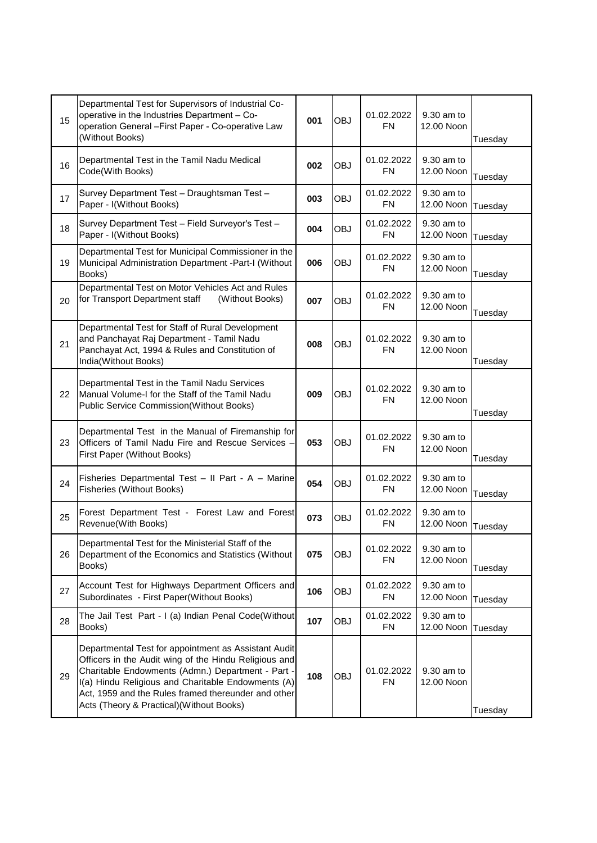| 15 | Departmental Test for Supervisors of Industrial Co-<br>operative in the Industries Department - Co-<br>operation General - First Paper - Co-operative Law<br>(Without Books)                                                                                                                                                 | 001 | <b>OBJ</b> | 01.02.2022<br><b>FN</b> | 9.30 am to<br>12.00 Noon | Tuesday |
|----|------------------------------------------------------------------------------------------------------------------------------------------------------------------------------------------------------------------------------------------------------------------------------------------------------------------------------|-----|------------|-------------------------|--------------------------|---------|
| 16 | Departmental Test in the Tamil Nadu Medical<br>Code(With Books)                                                                                                                                                                                                                                                              | 002 | <b>OBJ</b> | 01.02.2022<br>FN.       | 9.30 am to<br>12.00 Noon | Tuesday |
| 17 | Survey Department Test - Draughtsman Test -<br>Paper - I(Without Books)                                                                                                                                                                                                                                                      | 003 | <b>OBJ</b> | 01.02.2022<br><b>FN</b> | 9.30 am to<br>12.00 Noon | Tuesday |
| 18 | Survey Department Test - Field Surveyor's Test -<br>Paper - I(Without Books)                                                                                                                                                                                                                                                 | 004 | <b>OBJ</b> | 01.02.2022<br><b>FN</b> | 9.30 am to<br>12.00 Noon | Tuesday |
| 19 | Departmental Test for Municipal Commissioner in the<br>Municipal Administration Department -Part-I (Without<br>Books)                                                                                                                                                                                                        | 006 | <b>OBJ</b> | 01.02.2022<br><b>FN</b> | 9.30 am to<br>12.00 Noon | Tuesday |
| 20 | Departmental Test on Motor Vehicles Act and Rules<br>for Transport Department staff<br>(Without Books)                                                                                                                                                                                                                       | 007 | <b>OBJ</b> | 01.02.2022<br><b>FN</b> | 9.30 am to<br>12.00 Noon | Tuesday |
| 21 | Departmental Test for Staff of Rural Development<br>and Panchayat Raj Department - Tamil Nadu<br>Panchayat Act, 1994 & Rules and Constitution of<br>India(Without Books)                                                                                                                                                     | 008 | <b>OBJ</b> | 01.02.2022<br>FN.       | 9.30 am to<br>12.00 Noon | Tuesday |
| 22 | Departmental Test in the Tamil Nadu Services<br>Manual Volume-I for the Staff of the Tamil Nadu<br><b>Public Service Commission (Without Books)</b>                                                                                                                                                                          | 009 | <b>OBJ</b> | 01.02.2022<br><b>FN</b> | 9.30 am to<br>12.00 Noon | Tuesday |
| 23 | Departmental Test in the Manual of Firemanship for<br>Officers of Tamil Nadu Fire and Rescue Services -<br>First Paper (Without Books)                                                                                                                                                                                       | 053 | <b>OBJ</b> | 01.02.2022<br><b>FN</b> | 9.30 am to<br>12.00 Noon | Tuesday |
| 24 | Fisheries Departmental Test - II Part - A - Marine<br><b>Fisheries (Without Books)</b>                                                                                                                                                                                                                                       | 054 | <b>OBJ</b> | 01.02.2022<br><b>FN</b> | 9.30 am to<br>12.00 Noon | Tuesday |
| 25 | Forest Department Test - Forest Law and Forest<br>Revenue(With Books)                                                                                                                                                                                                                                                        | 073 | <b>OBJ</b> | 01.02.2022<br><b>FN</b> | 9.30 am to<br>12.00 Noon | Tuesday |
| 26 | Departmental Test for the Ministerial Staff of the<br>Department of the Economics and Statistics (Without<br>Books)                                                                                                                                                                                                          | 075 | <b>OBJ</b> | 01.02.2022<br><b>FN</b> | 9.30 am to<br>12.00 Noon | Tuesday |
| 27 | Account Test for Highways Department Officers and<br>Subordinates - First Paper(Without Books)                                                                                                                                                                                                                               | 106 | <b>OBJ</b> | 01.02.2022<br><b>FN</b> | 9.30 am to<br>12.00 Noon | Tuesday |
| 28 | The Jail Test Part - I (a) Indian Penal Code(Without<br>Books)                                                                                                                                                                                                                                                               | 107 | <b>OBJ</b> | 01.02.2022<br>FN        | 9.30 am to<br>12.00 Noon | Tuesday |
| 29 | Departmental Test for appointment as Assistant Audit<br>Officers in the Audit wing of the Hindu Religious and<br>Charitable Endowments (Admn.) Department - Part -<br>I(a) Hindu Religious and Charitable Endowments (A)<br>Act, 1959 and the Rules framed thereunder and other<br>Acts (Theory & Practical) (Without Books) | 108 | <b>OBJ</b> | 01.02.2022<br><b>FN</b> | 9.30 am to<br>12.00 Noon | Tuesday |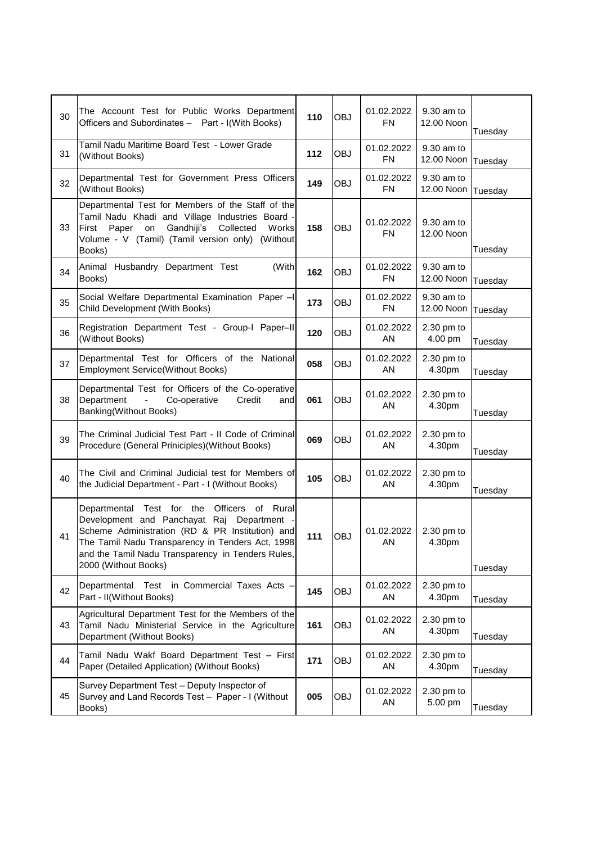| 30 | The Account Test for Public Works Department<br>Officers and Subordinates - Part - I(With Books)                                                                                                                                                                                 | 110   | OBJ        | 01.02.2022<br><b>FN</b> | 9.30 am to<br>12.00 Noon | Tuesday |
|----|----------------------------------------------------------------------------------------------------------------------------------------------------------------------------------------------------------------------------------------------------------------------------------|-------|------------|-------------------------|--------------------------|---------|
| 31 | Tamil Nadu Maritime Board Test - Lower Grade<br>(Without Books)                                                                                                                                                                                                                  | $112$ | OBJ        | 01.02.2022<br><b>FN</b> | 9.30 am to<br>12.00 Noon | Tuesday |
| 32 | Departmental Test for Government Press Officers<br>(Without Books)                                                                                                                                                                                                               | 149   | <b>OBJ</b> | 01.02.2022<br>FN        | 9.30 am to<br>12.00 Noon | Tuesday |
| 33 | Departmental Test for Members of the Staff of the<br>Tamil Nadu Khadi and Village Industries Board -<br>Paper<br>Gandhiji's<br>Collected<br>First<br>on<br>Works<br>Volume - V (Tamil) (Tamil version only) (Without<br>Books)                                                   | 158   | <b>OBJ</b> | 01.02.2022<br><b>FN</b> | 9.30 am to<br>12.00 Noon | Tuesday |
| 34 | Animal Husbandry Department Test<br>(With<br>Books)                                                                                                                                                                                                                              | 162   | OBJ        | 01.02.2022<br><b>FN</b> | 9.30 am to<br>12.00 Noon | Tuesday |
| 35 | Social Welfare Departmental Examination Paper -I<br>Child Development (With Books)                                                                                                                                                                                               | 173   | OBJ        | 01.02.2022<br><b>FN</b> | 9.30 am to<br>12.00 Noon | Tuesday |
| 36 | Registration Department Test - Group-I Paper-II<br>(Without Books)                                                                                                                                                                                                               | 120   | OBJ        | 01.02.2022<br>ΑN        | 2.30 pm to<br>4.00 pm    | Tuesday |
| 37 | Departmental Test for Officers of the National<br><b>Employment Service(Without Books)</b>                                                                                                                                                                                       | 058   | <b>OBJ</b> | 01.02.2022<br>AN        | $2.30$ pm to<br>4.30pm   | Tuesday |
| 38 | Departmental Test for Officers of the Co-operative<br>Department<br>Co-operative<br>$\blacksquare$<br>Credit<br>andl<br>Banking(Without Books)                                                                                                                                   | 061   | OBJ        | 01.02.2022<br>AN        | 2.30 pm to<br>4.30pm     | Tuesday |
| 39 | The Criminal Judicial Test Part - II Code of Criminal<br>Procedure (General Priniciples) (Without Books)                                                                                                                                                                         | 069   | OBJ        | 01.02.2022<br>ΑN        | $2.30$ pm to<br>4.30pm   | Tuesday |
| 40 | The Civil and Criminal Judicial test for Members of<br>the Judicial Department - Part - I (Without Books)                                                                                                                                                                        | 105   | OBJ        | 01.02.2022<br>AN        | 2.30 pm to<br>4.30pm     | Tuesday |
| 41 | Departmental Test for the Officers<br>of Rural<br>Development and Panchayat Raj Department -<br>Scheme Administration (RD & PR Institution) and<br>The Tamil Nadu Transparency in Tenders Act, 1998<br>and the Tamil Nadu Transparency in Tenders Rules,<br>2000 (Without Books) | 111   | <b>OBJ</b> | 01.02.2022<br>AN        | $2.30$ pm to<br>4.30pm   | Tuesday |
| 42 | Departmental Test in Commercial Taxes Acts -<br>Part - II(Without Books)                                                                                                                                                                                                         | 145   | <b>OBJ</b> | 01.02.2022<br>AN        | 2.30 pm to<br>4.30pm     | Tuesday |
| 43 | Agricultural Department Test for the Members of the<br>Tamil Nadu Ministerial Service in the Agriculture<br>Department (Without Books)                                                                                                                                           | 161   | <b>OBJ</b> | 01.02.2022<br>AN        | 2.30 pm to<br>4.30pm     | Tuesday |
| 44 | Tamil Nadu Wakf Board Department Test - First<br>Paper (Detailed Application) (Without Books)                                                                                                                                                                                    | 171   | OBJ        | 01.02.2022<br>AN        | 2.30 pm to<br>4.30pm     | Tuesday |
| 45 | Survey Department Test - Deputy Inspector of<br>Survey and Land Records Test - Paper - I (Without<br>Books)                                                                                                                                                                      | 005   | OBJ        | 01.02.2022<br>AN        | 2.30 pm to<br>5.00 pm    | Tuesday |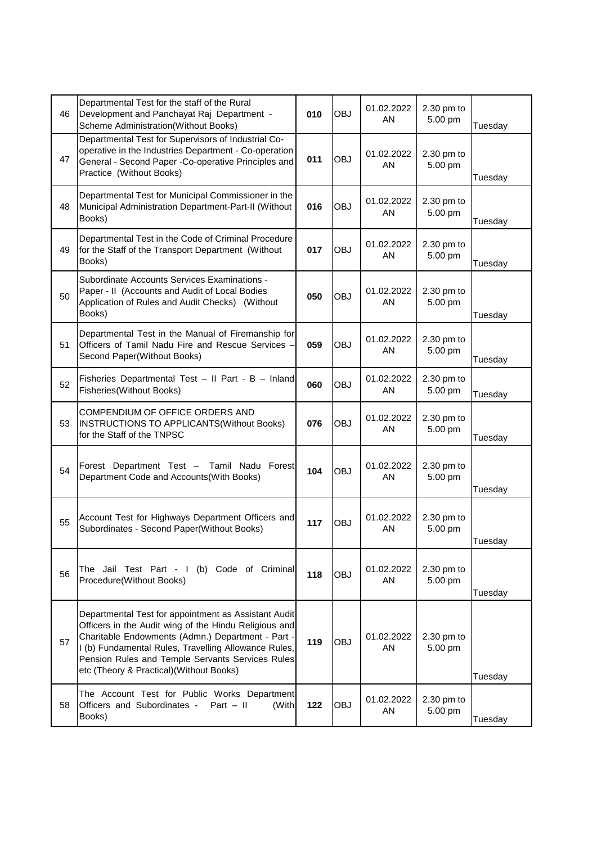| 46 | Departmental Test for the staff of the Rural<br>Development and Panchayat Raj Department -<br>Scheme Administration(Without Books)                                                                                                                                                                                         | 010 | <b>OBJ</b> | 01.02.2022<br>AN | 2.30 pm to<br>5.00 pm | Tuesday |
|----|----------------------------------------------------------------------------------------------------------------------------------------------------------------------------------------------------------------------------------------------------------------------------------------------------------------------------|-----|------------|------------------|-----------------------|---------|
| 47 | Departmental Test for Supervisors of Industrial Co-<br>operative in the Industries Department - Co-operation<br>General - Second Paper -Co-operative Principles and<br>Practice (Without Books)                                                                                                                            | 011 | <b>OBJ</b> | 01.02.2022<br>ΑN | 2.30 pm to<br>5.00 pm | Tuesday |
| 48 | Departmental Test for Municipal Commissioner in the<br>Municipal Administration Department-Part-II (Without<br>Books)                                                                                                                                                                                                      | 016 | <b>OBJ</b> | 01.02.2022<br>ΑN | 2.30 pm to<br>5.00 pm | Tuesday |
| 49 | Departmental Test in the Code of Criminal Procedure<br>for the Staff of the Transport Department (Without<br>Books)                                                                                                                                                                                                        | 017 | <b>OBJ</b> | 01.02.2022<br>AN | 2.30 pm to<br>5.00 pm | Tuesday |
| 50 | Subordinate Accounts Services Examinations -<br>Paper - II (Accounts and Audit of Local Bodies<br>Application of Rules and Audit Checks) (Without<br>Books)                                                                                                                                                                | 050 | <b>OBJ</b> | 01.02.2022<br>AN | 2.30 pm to<br>5.00 pm | Tuesday |
| 51 | Departmental Test in the Manual of Firemanship for<br>Officers of Tamil Nadu Fire and Rescue Services -<br>Second Paper(Without Books)                                                                                                                                                                                     | 059 | <b>OBJ</b> | 01.02.2022<br>AN | 2.30 pm to<br>5.00 pm | Tuesday |
| 52 | Fisheries Departmental Test - II Part - B - Inland<br>Fisheries(Without Books)                                                                                                                                                                                                                                             | 060 | <b>OBJ</b> | 01.02.2022<br>AN | 2.30 pm to<br>5.00 pm | Tuesday |
| 53 | COMPENDIUM OF OFFICE ORDERS AND<br>INSTRUCTIONS TO APPLICANTS(Without Books)<br>for the Staff of the TNPSC                                                                                                                                                                                                                 | 076 | <b>OBJ</b> | 01.02.2022<br>AN | 2.30 pm to<br>5.00 pm | Tuesday |
| 54 | Forest Department Test -<br>Tamil Nadu Forest<br>Department Code and Accounts(With Books)                                                                                                                                                                                                                                  | 104 | <b>OBJ</b> | 01.02.2022<br>ΑN | 2.30 pm to<br>5.00 pm | Tuesday |
| 55 | Account Test for Highways Department Officers and<br>Subordinates - Second Paper(Without Books)                                                                                                                                                                                                                            | 117 | <b>OBJ</b> | 01.02.2022<br>AN | 2.30 pm to<br>5.00 pm | Tuesday |
| 56 | The Jail Test Part - I<br>(b) Code of Criminal<br>Procedure(Without Books)                                                                                                                                                                                                                                                 | 118 | <b>OBJ</b> | 01.02.2022<br>AN | 2.30 pm to<br>5.00 pm | Tuesday |
| 57 | Departmental Test for appointment as Assistant Audit<br>Officers in the Audit wing of the Hindu Religious and<br>Charitable Endowments (Admn.) Department - Part -<br>I (b) Fundamental Rules, Travelling Allowance Rules,<br>Pension Rules and Temple Servants Services Rules<br>etc (Theory & Practical) (Without Books) | 119 | <b>OBJ</b> | 01.02.2022<br>AN | 2.30 pm to<br>5.00 pm | Tuesday |
| 58 | The Account Test for Public Works Department<br>Officers and Subordinates -<br>Part $-$ II<br>(With<br>Books)                                                                                                                                                                                                              | 122 | <b>OBJ</b> | 01.02.2022<br>AN | 2.30 pm to<br>5.00 pm | Tuesday |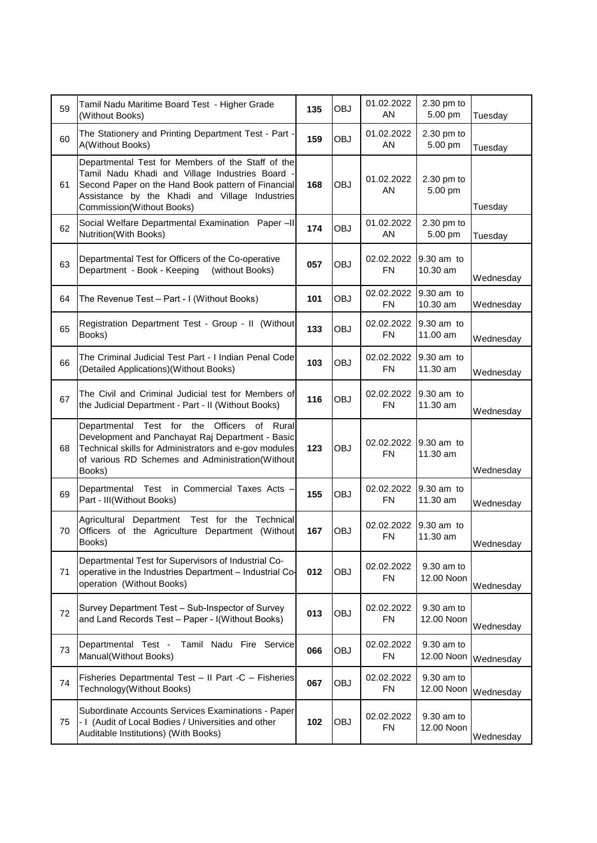| 59 | Tamil Nadu Maritime Board Test - Higher Grade<br>(Without Books)                                                                                                                                                                          | 135 | <b>OBJ</b> | 01.02.2022<br>AN         | 2.30 pm to<br>5.00 pm    | Tuesday   |
|----|-------------------------------------------------------------------------------------------------------------------------------------------------------------------------------------------------------------------------------------------|-----|------------|--------------------------|--------------------------|-----------|
| 60 | The Stationery and Printing Department Test - Part -<br>A(Without Books)                                                                                                                                                                  | 159 | <b>OBJ</b> | 01.02.2022<br>AN         | 2.30 pm to<br>5.00 pm    | Tuesday   |
| 61 | Departmental Test for Members of the Staff of the<br>Tamil Nadu Khadi and Village Industries Board -<br>Second Paper on the Hand Book pattern of Financial<br>Assistance by the Khadi and Village Industries<br>Commission(Without Books) | 168 | <b>OBJ</b> | 01.02.2022<br>ΑN         | $2.30$ pm to<br>5.00 pm  | Tuesday   |
| 62 | Social Welfare Departmental Examination Paper-II<br>Nutrition(With Books)                                                                                                                                                                 | 174 | <b>OBJ</b> | 01.02.2022<br>AN         | 2.30 pm to<br>5.00 pm    | Tuesday   |
| 63 | Departmental Test for Officers of the Co-operative<br>Department - Book - Keeping<br>(without Books)                                                                                                                                      | 057 | <b>OBJ</b> | 02.02.2022<br><b>FN</b>  | 9.30 am to<br>10.30 am   | Wednesday |
| 64 | The Revenue Test - Part - I (Without Books)                                                                                                                                                                                               | 101 | OBJ        | 02.02.2022<br><b>FN</b>  | 9.30 am to<br>10.30 am   | Wednesday |
| 65 | Registration Department Test - Group - II (Without<br>Books)                                                                                                                                                                              | 133 | <b>OBJ</b> | 02.02.2022<br><b>FN</b>  | 9.30 am to<br>11.00 am   | Wednesday |
| 66 | The Criminal Judicial Test Part - I Indian Penal Code<br>(Detailed Applications) (Without Books)                                                                                                                                          | 103 | OBJ        | 02.02.2022<br>${\sf FN}$ | 9.30 am to<br>11.30 am   | Wednesday |
| 67 | The Civil and Criminal Judicial test for Members of<br>the Judicial Department - Part - II (Without Books)                                                                                                                                | 116 | <b>OBJ</b> | 02.02.2022<br><b>FN</b>  | 9.30 am to<br>11.30 am   | Wednesday |
| 68 | Departmental Test for the Officers<br>of<br>Rural<br>Development and Panchayat Raj Department - Basic<br>Technical skills for Administrators and e-gov modules                                                                            | 123 | <b>OBJ</b> | 02.02.2022               | 9.30 am to               |           |
|    | of various RD Schemes and Administration(Without<br>Books)                                                                                                                                                                                |     |            | <b>FN</b>                | 11.30 am                 | Wednesday |
| 69 | Departmental Test in Commercial Taxes Acts -<br>Part - III(Without Books)                                                                                                                                                                 | 155 | OBJ        | 02.02.2022<br><b>FN</b>  | 9.30 am to<br>11.30 am   | Wednesday |
| 70 | Test for the Technical<br>Agricultural<br>Department<br>Officers of the Agriculture Department (Without<br>Books)                                                                                                                         | 167 | <b>OBJ</b> | 02.02.2022<br>FN         | 9.30 am to<br>11.30 am   | Wednesday |
| 71 | Departmental Test for Supervisors of Industrial Co-<br>operative in the Industries Department - Industrial Co-<br>operation (Without Books)                                                                                               | 012 | OBJ        | 02.02.2022<br><b>FN</b>  | 9.30 am to<br>12.00 Noon | Wednesday |
| 72 | Survey Department Test - Sub-Inspector of Survey<br>and Land Records Test - Paper - I(Without Books)                                                                                                                                      | 013 | OBJ        | 02.02.2022<br><b>FN</b>  | 9.30 am to<br>12.00 Noon | Wednesday |
| 73 | Departmental Test -<br>Tamil Nadu Fire Service<br>Manual(Without Books)                                                                                                                                                                   | 066 | OBJ        | 02.02.2022<br><b>FN</b>  | 9.30 am to<br>12.00 Noon | Wednesday |
| 74 | Fisheries Departmental Test - II Part -C - Fisheries<br>Technology(Without Books)                                                                                                                                                         | 067 | OBJ        | 02.02.2022<br><b>FN</b>  | 9.30 am to<br>12.00 Noon | Wednesday |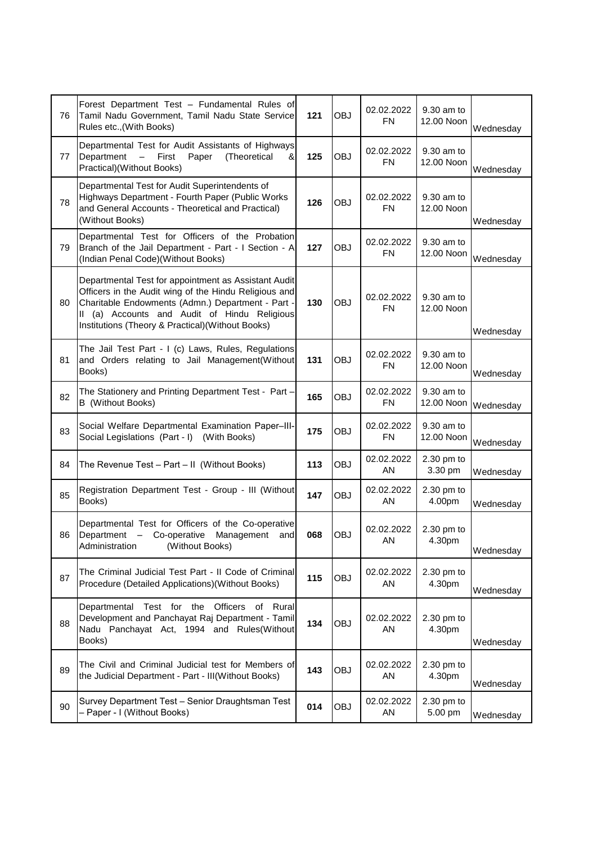| 76 | Forest Department Test - Fundamental Rules of<br>Tamil Nadu Government, Tamil Nadu State Service<br>Rules etc., (With Books)                                                                                                                                                | 121 | <b>OBJ</b> | 02.02.2022<br>FN        | 9.30 am to<br>12.00 Noon | Wednesday |
|----|-----------------------------------------------------------------------------------------------------------------------------------------------------------------------------------------------------------------------------------------------------------------------------|-----|------------|-------------------------|--------------------------|-----------|
| 77 | Departmental Test for Audit Assistants of Highways<br>Department<br>First<br>$\overline{\phantom{0}}$<br>Paper<br>(Theoretical<br>&l<br>Practical) (Without Books)                                                                                                          | 125 | <b>OBJ</b> | 02.02.2022<br><b>FN</b> | 9.30 am to<br>12.00 Noon | Wednesday |
| 78 | Departmental Test for Audit Superintendents of<br>Highways Department - Fourth Paper (Public Works<br>and General Accounts - Theoretical and Practical)<br>(Without Books)                                                                                                  | 126 | <b>OBJ</b> | 02.02.2022<br><b>FN</b> | 9.30 am to<br>12.00 Noon | Wednesday |
| 79 | Departmental Test for Officers of the Probation<br>Branch of the Jail Department - Part - I Section - A<br>(Indian Penal Code) (Without Books)                                                                                                                              | 127 | <b>OBJ</b> | 02.02.2022<br><b>FN</b> | 9.30 am to<br>12.00 Noon | Wednesday |
| 80 | Departmental Test for appointment as Assistant Audit<br>Officers in the Audit wing of the Hindu Religious and<br>Charitable Endowments (Admn.) Department - Part -<br>(a) Accounts and Audit of Hindu Religious<br>II.<br>Institutions (Theory & Practical) (Without Books) | 130 | <b>OBJ</b> | 02.02.2022<br><b>FN</b> | 9.30 am to<br>12.00 Noon | Wednesday |
| 81 | The Jail Test Part - I (c) Laws, Rules, Regulations<br>and Orders relating to Jail Management(Without<br>Books)                                                                                                                                                             | 131 | <b>OBJ</b> | 02.02.2022<br><b>FN</b> | 9.30 am to<br>12.00 Noon | Wednesday |
| 82 | The Stationery and Printing Department Test - Part -<br><b>B</b> (Without Books)                                                                                                                                                                                            | 165 | <b>OBJ</b> | 02.02.2022<br><b>FN</b> | 9.30 am to<br>12.00 Noon | Wednesday |
| 83 | Social Welfare Departmental Examination Paper-III-<br>Social Legislations (Part - I) (With Books)                                                                                                                                                                           | 175 | <b>OBJ</b> | 02.02.2022<br><b>FN</b> | 9.30 am to<br>12.00 Noon | Wednesday |
| 84 | The Revenue Test - Part - II (Without Books)                                                                                                                                                                                                                                | 113 | <b>OBJ</b> | 02.02.2022<br>ΑN        | 2.30 pm to<br>3.30 pm    | Wednesday |
| 85 | Registration Department Test - Group - III (Without<br>Books)                                                                                                                                                                                                               | 147 | <b>OBJ</b> | 02.02.2022<br>AN        | 2.30 pm to<br>4.00pm     | Wednesday |
| 86 | Departmental Test for Officers of the Co-operative<br>Department - Co-operative<br>Management<br>and<br>Administration<br>(Without Books)                                                                                                                                   | 068 | <b>OBJ</b> | 02.02.2022<br>AN        | $2.30$ pm to<br>4.30pm   | Wednesday |
| 87 | The Criminal Judicial Test Part - II Code of Criminal<br>Procedure (Detailed Applications) (Without Books)                                                                                                                                                                  | 115 | <b>OBJ</b> | 02.02.2022<br>AN        | 2.30 pm to<br>4.30pm     | Wednesday |
| 88 | Departmental Test for the Officers<br>of Rural<br>Development and Panchayat Raj Department - Tamil<br>Nadu Panchayat Act, 1994 and Rules(Without<br>Books)                                                                                                                  | 134 | <b>OBJ</b> | 02.02.2022<br>AN        | 2.30 pm to<br>4.30pm     | Wednesday |
| 89 | The Civil and Criminal Judicial test for Members of<br>the Judicial Department - Part - III(Without Books)                                                                                                                                                                  | 143 | OBJ        | 02.02.2022<br>AN        | $2.30$ pm to<br>4.30pm   | Wednesday |
| 90 | Survey Department Test - Senior Draughtsman Test<br>- Paper - I (Without Books)                                                                                                                                                                                             | 014 | <b>OBJ</b> | 02.02.2022<br>AN        | 2.30 pm to<br>5.00 pm    | Wednesday |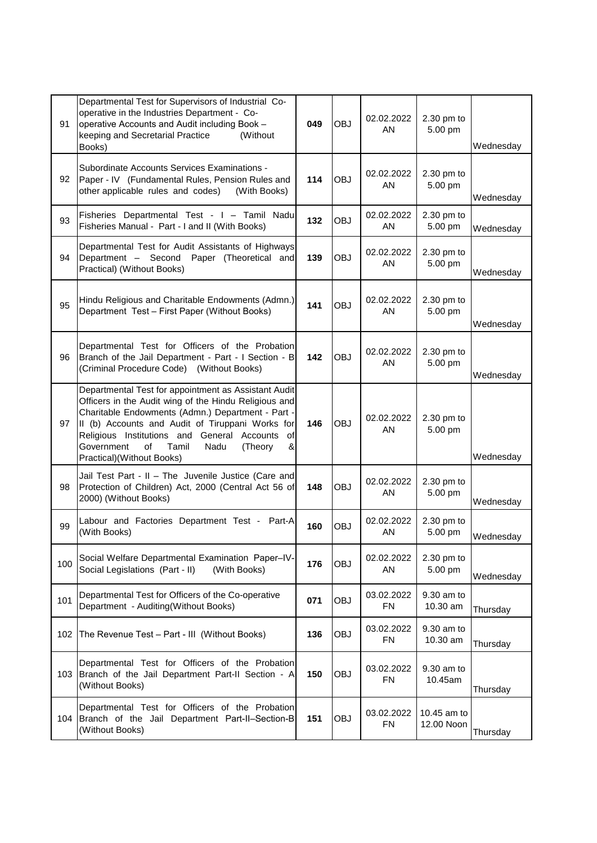| 91  | Departmental Test for Supervisors of Industrial Co-<br>operative in the Industries Department - Co-<br>operative Accounts and Audit including Book -<br>keeping and Secretarial Practice<br>(Without)<br>Books)                                                                                                                                                | 049 | <b>OBJ</b> | 02.02.2022<br>ΑN        | $2.30$ pm to<br>5.00 pm   | Wednesday |
|-----|----------------------------------------------------------------------------------------------------------------------------------------------------------------------------------------------------------------------------------------------------------------------------------------------------------------------------------------------------------------|-----|------------|-------------------------|---------------------------|-----------|
| 92  | Subordinate Accounts Services Examinations -<br>Paper - IV (Fundamental Rules, Pension Rules and<br>other applicable rules and codes)<br>(With Books)                                                                                                                                                                                                          | 114 | <b>OBJ</b> | 02.02.2022<br>AN        | 2.30 pm to<br>5.00 pm     | Wednesday |
| 93  | Fisheries Departmental Test - I - Tamil Nadu<br>Fisheries Manual - Part - I and II (With Books)                                                                                                                                                                                                                                                                | 132 | <b>OBJ</b> | 02.02.2022<br>AN        | 2.30 pm to<br>5.00 pm     | Wednesday |
| 94  | Departmental Test for Audit Assistants of Highways<br>Department - Second Paper (Theoretical and<br>Practical) (Without Books)                                                                                                                                                                                                                                 | 139 | <b>OBJ</b> | 02.02.2022<br>AN        | 2.30 pm to<br>5.00 pm     | Wednesday |
| 95  | Hindu Religious and Charitable Endowments (Admn.)<br>Department Test - First Paper (Without Books)                                                                                                                                                                                                                                                             | 141 | <b>OBJ</b> | 02.02.2022<br>AN        | 2.30 pm to<br>5.00 pm     | Wednesday |
| 96  | Departmental Test for Officers of the Probation<br>Branch of the Jail Department - Part - I Section - B<br>(Criminal Procedure Code) (Without Books)                                                                                                                                                                                                           | 142 | <b>OBJ</b> | 02.02.2022<br>AN        | 2.30 pm to<br>5.00 pm     | Wednesday |
| 97  | Departmental Test for appointment as Assistant Audit<br>Officers in the Audit wing of the Hindu Religious and<br>Charitable Endowments (Admn.) Department - Part -<br>II (b) Accounts and Audit of Tiruppani Works for<br>Religious Institutions and General Accounts<br>οf<br>Government<br>of<br>Tamil<br>&<br>Nadu<br>(Theory<br>Practical) (Without Books) | 146 | <b>OBJ</b> | 02.02.2022<br>ΑN        | 2.30 pm to<br>5.00 pm     | Wednesday |
| 98  | Jail Test Part - II - The Juvenile Justice (Care and<br>Protection of Children) Act, 2000 (Central Act 56 of<br>2000) (Without Books)                                                                                                                                                                                                                          | 148 | <b>OBJ</b> | 02.02.2022<br>ΑN        | 2.30 pm to<br>5.00 pm     | Wednesday |
| 99  | Labour and Factories Department Test -<br>Part-Al<br>(With Books)                                                                                                                                                                                                                                                                                              | 160 | <b>OBJ</b> | 02.02.2022<br>AN        | 2.30 pm to<br>5.00 pm     | Wednesday |
| 100 | Social Welfare Departmental Examination Paper-IV-<br>Social Legislations (Part - II)<br>(With Books)                                                                                                                                                                                                                                                           | 176 | <b>OBJ</b> | 02.02.2022<br>AN        | 2.30 pm to<br>5.00 pm     | Wednesday |
| 101 | Departmental Test for Officers of the Co-operative<br>Department - Auditing(Without Books)                                                                                                                                                                                                                                                                     | 071 | <b>OBJ</b> | 03.02.2022<br><b>FN</b> | 9.30 am to<br>10.30 am    | Thursday  |
| 102 | The Revenue Test - Part - III (Without Books)                                                                                                                                                                                                                                                                                                                  | 136 | <b>OBJ</b> | 03.02.2022<br><b>FN</b> | 9.30 am to<br>10.30 am    | Thursday  |
| 103 | Departmental Test for Officers of the Probation<br>Branch of the Jail Department Part-II Section - A<br>(Without Books)                                                                                                                                                                                                                                        | 150 | <b>OBJ</b> | 03.02.2022<br><b>FN</b> | 9.30 am to<br>10.45am     | Thursday  |
| 104 | Departmental Test for Officers of the Probation<br>Branch of the Jail Department Part-II-Section-B<br>(Without Books)                                                                                                                                                                                                                                          | 151 | OBJ        | 03.02.2022<br><b>FN</b> | 10.45 am to<br>12.00 Noon | Thursday  |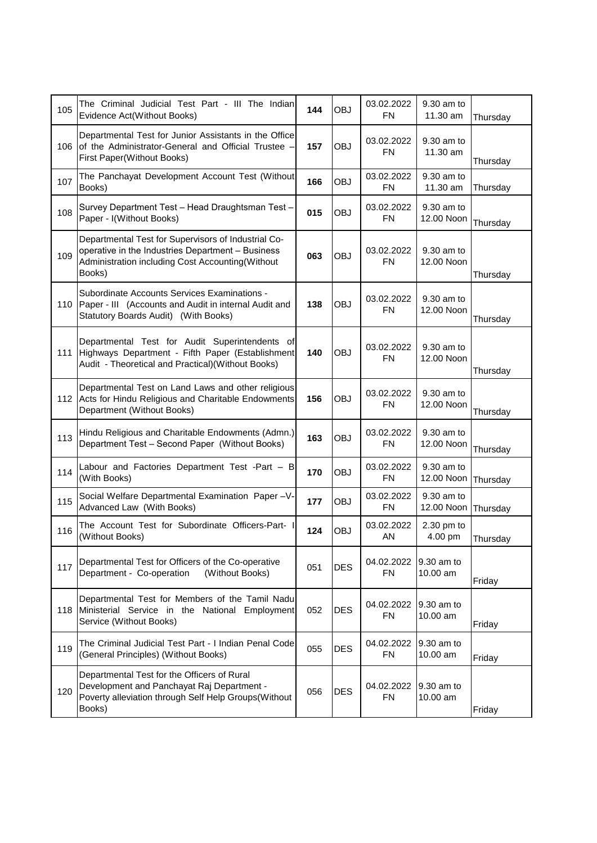| 105 | The Criminal Judicial Test Part - III The Indian<br>Evidence Act(Without Books)                                                                                        | 144 | <b>OBJ</b> | 03.02.2022<br><b>FN</b> | 9.30 am to<br>11.30 am   | Thursday |
|-----|------------------------------------------------------------------------------------------------------------------------------------------------------------------------|-----|------------|-------------------------|--------------------------|----------|
| 106 | Departmental Test for Junior Assistants in the Office<br>of the Administrator-General and Official Trustee -<br>First Paper(Without Books)                             | 157 | <b>OBJ</b> | 03.02.2022<br><b>FN</b> | 9.30 am to<br>11.30 am   | Thursday |
| 107 | The Panchayat Development Account Test (Without<br>Books)                                                                                                              | 166 | <b>OBJ</b> | 03.02.2022<br><b>FN</b> | 9.30 am to<br>11.30 am   | Thursday |
| 108 | Survey Department Test - Head Draughtsman Test -<br>Paper - I(Without Books)                                                                                           | 015 | <b>OBJ</b> | 03.02.2022<br><b>FN</b> | 9.30 am to<br>12.00 Noon | Thursday |
| 109 | Departmental Test for Supervisors of Industrial Co-<br>operative in the Industries Department - Business<br>Administration including Cost Accounting(Without<br>Books) | 063 | <b>OBJ</b> | 03.02.2022<br><b>FN</b> | 9.30 am to<br>12.00 Noon | Thursday |
| 110 | Subordinate Accounts Services Examinations -<br>Paper - III (Accounts and Audit in internal Audit and<br>Statutory Boards Audit) (With Books)                          | 138 | <b>OBJ</b> | 03.02.2022<br><b>FN</b> | 9.30 am to<br>12.00 Noon | Thursday |
| 111 | Departmental Test for Audit Superintendents of<br>Highways Department - Fifth Paper (Establishment<br>Audit - Theoretical and Practical) (Without Books)               | 140 | <b>OBJ</b> | 03.02.2022<br><b>FN</b> | 9.30 am to<br>12.00 Noon | Thursday |
| 112 | Departmental Test on Land Laws and other religious<br>Acts for Hindu Religious and Charitable Endowments<br>Department (Without Books)                                 | 156 | <b>OBJ</b> | 03.02.2022<br><b>FN</b> | 9.30 am to<br>12.00 Noon | Thursday |
| 113 | Hindu Religious and Charitable Endowments (Admn.)<br>Department Test - Second Paper (Without Books)                                                                    | 163 | <b>OBJ</b> | 03.02.2022<br><b>FN</b> | 9.30 am to<br>12.00 Noon | Thursday |
| 114 | Labour and Factories Department Test -Part - B<br>(With Books)                                                                                                         | 170 | <b>OBJ</b> | 03.02.2022<br><b>FN</b> | 9.30 am to<br>12.00 Noon | Thursday |
| 115 | Social Welfare Departmental Examination Paper-V-<br>Advanced Law (With Books)                                                                                          | 177 | <b>OBJ</b> | 03.02.2022<br><b>FN</b> | 9.30 am to<br>12.00 Noon | Thursday |
| 116 | The Account Test for Subordinate Officers-Part-<br>(Without Books)                                                                                                     | 124 | <b>OBJ</b> | 03.02.2022<br>AN        | 2.30 pm to<br>4.00 pm    | Thursday |
| 117 | Departmental Test for Officers of the Co-operative<br>Department - Co-operation<br>(Without Books)                                                                     | 051 | <b>DES</b> | 04.02.2022<br><b>FN</b> | 9.30 am to<br>10.00 am   | Friday   |
| 118 | Departmental Test for Members of the Tamil Nadu<br>Ministerial Service in the National Employment<br>Service (Without Books)                                           | 052 | <b>DES</b> | 04.02.2022<br><b>FN</b> | 9.30 am to<br>10.00 am   | Friday   |
| 119 | The Criminal Judicial Test Part - I Indian Penal Code<br>(General Principles) (Without Books)                                                                          | 055 | <b>DES</b> | 04.02.2022<br><b>FN</b> | 9.30 am to<br>10.00 am   | Friday   |
| 120 | Departmental Test for the Officers of Rural<br>Development and Panchayat Raj Department -<br>Poverty alleviation through Self Help Groups(Without<br>Books)            | 056 | <b>DES</b> | 04.02.2022<br><b>FN</b> | 9.30 am to<br>10.00 am   | Friday   |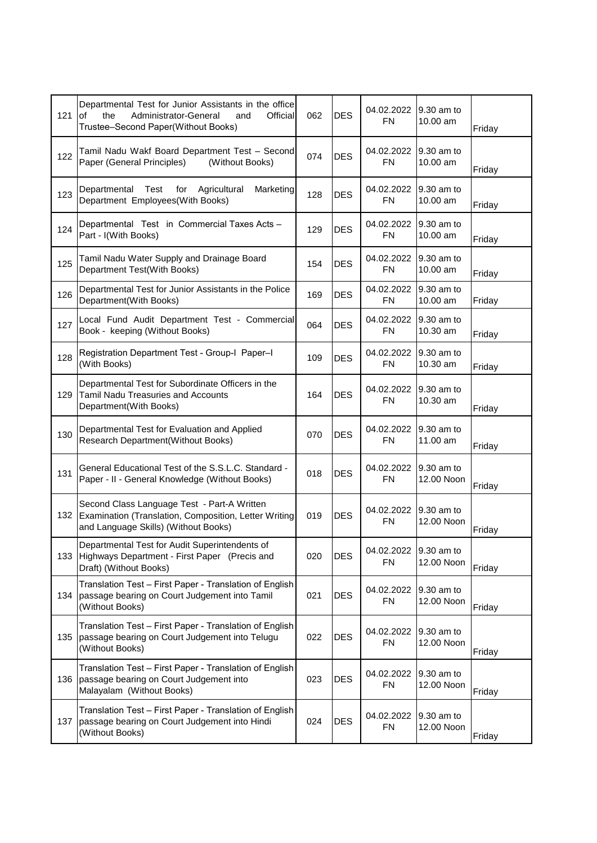| 121 | Departmental Test for Junior Assistants in the office<br>the<br>Administrator-General<br>Official<br>and<br>οf<br>Trustee-Second Paper(Without Books) | 062 | <b>DES</b> | 04.02.2022<br><b>FN</b> | 9.30 am to<br>10.00 am    | Friday |
|-----|-------------------------------------------------------------------------------------------------------------------------------------------------------|-----|------------|-------------------------|---------------------------|--------|
| 122 | Tamil Nadu Wakf Board Department Test - Second<br>Paper (General Principles)<br>(Without Books)                                                       | 074 | <b>DES</b> | 04.02.2022<br><b>FN</b> | 9.30 am to<br>10.00 am    | Friday |
| 123 | Test<br>Agricultural<br>Departmental<br>for<br>Marketing<br>Department Employees(With Books)                                                          | 128 | <b>DES</b> | 04.02.2022<br>FN        | 19.30 am to<br>$10.00$ am | Friday |
| 124 | Departmental Test in Commercial Taxes Acts -<br>Part - I(With Books)                                                                                  | 129 | <b>DES</b> | 04.02.2022<br><b>FN</b> | 9.30 am to<br>10.00 am    | Friday |
| 125 | Tamil Nadu Water Supply and Drainage Board<br>Department Test(With Books)                                                                             | 154 | <b>DES</b> | 04.02.2022<br><b>FN</b> | 9.30 am to<br>10.00 am    | Friday |
| 126 | Departmental Test for Junior Assistants in the Police<br>Department(With Books)                                                                       | 169 | <b>DES</b> | 04.02.2022<br><b>FN</b> | 9.30 am to<br>10.00 am    | Friday |
| 127 | Local Fund Audit Department Test - Commercial<br>Book - keeping (Without Books)                                                                       | 064 | <b>DES</b> | 04.02.2022<br><b>FN</b> | 9.30 am to<br>10.30 am    | Friday |
| 128 | Registration Department Test - Group-I Paper-I<br>(With Books)                                                                                        | 109 | <b>DES</b> | 04.02.2022<br><b>FN</b> | 9.30 am to<br>$10.30$ am  | Friday |
| 129 | Departmental Test for Subordinate Officers in the<br><b>Tamil Nadu Treasuries and Accounts</b><br>Department(With Books)                              | 164 | <b>DES</b> | 04.02.2022<br><b>FN</b> | 9.30 am to<br>10.30 am    | Friday |
| 130 | Departmental Test for Evaluation and Applied<br><b>Research Department(Without Books)</b>                                                             | 070 | <b>DES</b> | 04.02.2022<br><b>FN</b> | 9.30 am to<br>11.00 am    | Friday |
| 131 | General Educational Test of the S.S.L.C. Standard -<br>Paper - II - General Knowledge (Without Books)                                                 | 018 | <b>DES</b> | 04.02.2022<br><b>FN</b> | 9.30 am to<br>12.00 Noon  | Friday |
| 132 | Second Class Language Test - Part-A Written<br>Examination (Translation, Composition, Letter Writing<br>and Language Skills) (Without Books)          | 019 | <b>DES</b> | 04.02.2022<br><b>FN</b> | 9.30 am to<br>12.00 Noon  | Friday |
| 133 | Departmental Test for Audit Superintendents of<br>Highways Department - First Paper (Precis and<br>Draft) (Without Books)                             | 020 | <b>DES</b> | 04.02.2022<br><b>FN</b> | 9.30 am to<br>12.00 Noon  | Friday |
| 134 | Translation Test - First Paper - Translation of English<br>passage bearing on Court Judgement into Tamil<br>(Without Books)                           | 021 | <b>DES</b> | 04.02.2022<br><b>FN</b> | 9.30 am to<br>12.00 Noon  | Friday |
| 135 | Translation Test - First Paper - Translation of English<br>passage bearing on Court Judgement into Telugu<br>(Without Books)                          | 022 | <b>DES</b> | 04.02.2022<br><b>FN</b> | 9.30 am to<br>12.00 Noon  | Friday |
| 136 | Translation Test - First Paper - Translation of English<br>passage bearing on Court Judgement into<br>Malayalam (Without Books)                       | 023 | <b>DES</b> | 04.02.2022<br><b>FN</b> | 9.30 am to<br>12.00 Noon  | Friday |
| 137 | Translation Test - First Paper - Translation of English<br>passage bearing on Court Judgement into Hindi<br>(Without Books)                           | 024 | <b>DES</b> | 04.02.2022<br><b>FN</b> | 9.30 am to<br>12.00 Noon  | Friday |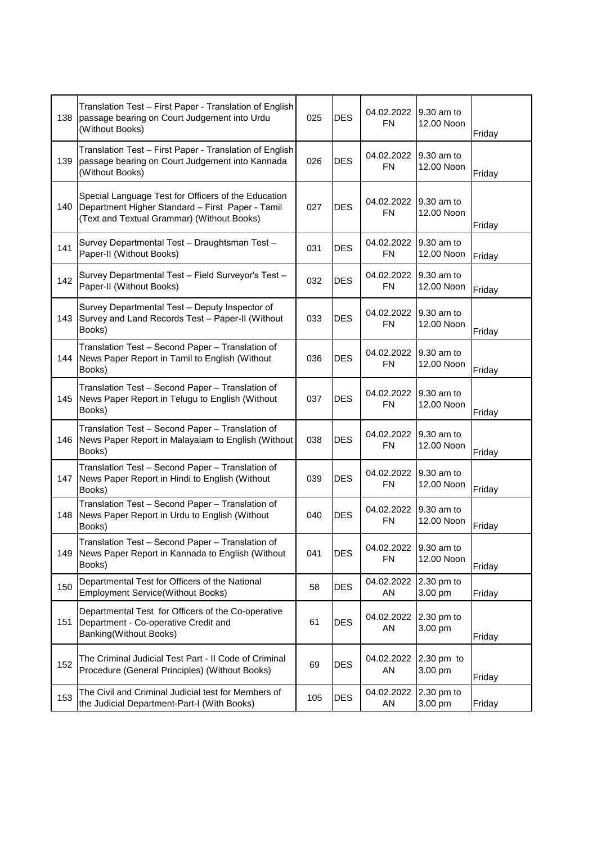| 138 | Translation Test - First Paper - Translation of English<br>passage bearing on Court Judgement into Urdu<br>(Without Books)                            | 025 | <b>DES</b> | 04.02.2022<br><b>FN</b> | 9.30 am to<br>12.00 Noon | Friday |
|-----|-------------------------------------------------------------------------------------------------------------------------------------------------------|-----|------------|-------------------------|--------------------------|--------|
| 139 | Translation Test - First Paper - Translation of English<br>passage bearing on Court Judgement into Kannada<br>(Without Books)                         | 026 | <b>DES</b> | 04.02.2022<br><b>FN</b> | 9.30 am to<br>12.00 Noon | Friday |
| 140 | Special Language Test for Officers of the Education<br>Department Higher Standard - First Paper - Tamil<br>(Text and Textual Grammar) (Without Books) | 027 | <b>DES</b> | 04.02.2022<br><b>FN</b> | 9.30 am to<br>12.00 Noon | Friday |
| 141 | Survey Departmental Test - Draughtsman Test -<br>Paper-II (Without Books)                                                                             | 031 | <b>DES</b> | 04.02.2022<br><b>FN</b> | 9.30 am to<br>12.00 Noon | Friday |
| 142 | Survey Departmental Test - Field Surveyor's Test -<br>Paper-II (Without Books)                                                                        | 032 | <b>DES</b> | 04.02.2022<br><b>FN</b> | 9.30 am to<br>12.00 Noon | Friday |
| 143 | Survey Departmental Test - Deputy Inspector of<br>Survey and Land Records Test - Paper-II (Without<br>Books)                                          | 033 | <b>DES</b> | 04.02.2022<br><b>FN</b> | 9.30 am to<br>12.00 Noon | Friday |
| 144 | Translation Test - Second Paper - Translation of<br>News Paper Report in Tamil to English (Without<br>Books)                                          | 036 | <b>DES</b> | 04.02.2022<br><b>FN</b> | 9.30 am to<br>12.00 Noon | Friday |
| 145 | Translation Test - Second Paper - Translation of<br>News Paper Report in Telugu to English (Without<br>Books)                                         | 037 | <b>DES</b> | 04.02.2022<br><b>FN</b> | 9.30 am to<br>12.00 Noon | Friday |
| 146 | Translation Test - Second Paper - Translation of<br>News Paper Report in Malayalam to English (Without<br>Books)                                      | 038 | <b>DES</b> | 04.02.2022<br><b>FN</b> | 9.30 am to<br>12.00 Noon | Friday |
| 147 | Translation Test - Second Paper - Translation of<br>News Paper Report in Hindi to English (Without<br>Books)                                          | 039 | <b>DES</b> | 04.02.2022<br><b>FN</b> | 9.30 am to<br>12.00 Noon | Friday |
| 148 | Translation Test - Second Paper - Translation of<br>News Paper Report in Urdu to English (Without<br>Books)                                           | 040 | <b>DES</b> | 04.02.2022<br><b>FN</b> | 9.30 am to<br>12.00 Noon | Friday |
| 149 | Translation Test - Second Paper - Translation of<br>News Paper Report in Kannada to English (Without<br>Books)                                        | 041 | <b>DES</b> | 04.02.2022<br><b>FN</b> | 9.30 am to<br>12.00 Noon | Friday |
| 150 | Departmental Test for Officers of the National<br><b>Employment Service(Without Books)</b>                                                            | 58  | <b>DES</b> | 04.02.2022<br>AN        | 2.30 pm to<br>3.00 pm    | Friday |
| 151 | Departmental Test for Officers of the Co-operative<br>Department - Co-operative Credit and<br>Banking(Without Books)                                  | 61  | <b>DES</b> | 04.02.2022<br>AN        | 2.30 pm to<br>3.00 pm    | Friday |
| 152 | The Criminal Judicial Test Part - II Code of Criminal<br>Procedure (General Principles) (Without Books)                                               | 69  | <b>DES</b> | 04.02.2022<br>AN        | 2.30 pm to<br>3.00 pm    | Friday |
| 153 | The Civil and Criminal Judicial test for Members of<br>the Judicial Department-Part-I (With Books)                                                    | 105 | <b>DES</b> | 04.02.2022<br>AN        | 2.30 pm to<br>3.00 pm    | Friday |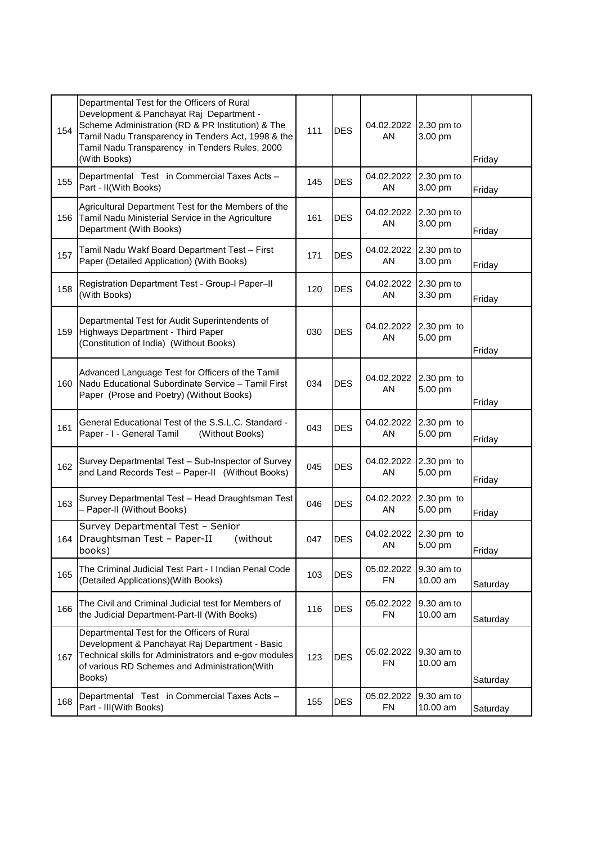| 154 | Departmental Test for the Officers of Rural<br>Development & Panchayat Raj Department -<br>Scheme Administration (RD & PR Institution) & The<br>Tamil Nadu Transparency in Tenders Act, 1998 & the<br>Tamil Nadu Transparency in Tenders Rules, 2000<br>(With Books) | 111 | <b>DES</b> | 04.02.2022<br>AN        | 2.30 pm to<br>3.00 pm  | Friday   |
|-----|----------------------------------------------------------------------------------------------------------------------------------------------------------------------------------------------------------------------------------------------------------------------|-----|------------|-------------------------|------------------------|----------|
| 155 | Departmental Test in Commercial Taxes Acts -<br>Part - II(With Books)                                                                                                                                                                                                | 145 | <b>DES</b> | 04.02.2022<br>AN        | 2.30 pm to<br>3.00 pm  | Friday   |
| 156 | Agricultural Department Test for the Members of the<br>Tamil Nadu Ministerial Service in the Agriculture<br>Department (With Books)                                                                                                                                  | 161 | <b>DES</b> | 04.02.2022<br>AN        | 2.30 pm to<br>3.00 pm  | Friday   |
| 157 | Tamil Nadu Wakf Board Department Test - First<br>Paper (Detailed Application) (With Books)                                                                                                                                                                           | 171 | <b>DES</b> | 04.02.2022<br>AN        | 2.30 pm to<br>3.00 pm  | Friday   |
| 158 | Registration Department Test - Group-I Paper-II<br>(With Books)                                                                                                                                                                                                      | 120 | <b>DES</b> | 04.02.2022<br>AN        | 2.30 pm to<br>3.30 pm  | Friday   |
| 159 | Departmental Test for Audit Superintendents of<br>Highways Department - Third Paper<br>(Constitution of India) (Without Books)                                                                                                                                       | 030 | <b>DES</b> | 04.02.2022<br>AN        | 2.30 pm to<br>5.00 pm  | Friday   |
| 160 | Advanced Language Test for Officers of the Tamil<br>Nadu Educational Subordinate Service - Tamil First<br>Paper (Prose and Poetry) (Without Books)                                                                                                                   | 034 | <b>DES</b> | 04.02.2022<br>AN        | 2.30 pm to<br>5.00 pm  | Friday   |
| 161 | General Educational Test of the S.S.L.C. Standard -<br>Paper - I - General Tamil<br>(Without Books)                                                                                                                                                                  | 043 | <b>DES</b> | 04.02.2022<br>AN        | 2.30 pm to<br>5.00 pm  | Friday   |
| 162 | Survey Departmental Test - Sub-Inspector of Survey<br>and Land Records Test - Paper-II (Without Books)                                                                                                                                                               | 045 | <b>DES</b> | 04.02.2022<br>AN        | 2.30 pm to<br>5.00 pm  | Friday   |
| 163 | Survey Departmental Test - Head Draughtsman Test<br>- Paper-II (Without Books)                                                                                                                                                                                       | 046 | <b>DES</b> | 04.02.2022<br>AN        | 2.30 pm to<br>5.00 pm  | Friday   |
| 164 | Survey Departmental Test - Senior<br>Draughtsman Test - Paper-II<br>(without)<br>books)                                                                                                                                                                              | 047 | <b>DES</b> | 04.02.2022<br>AN        | 2.30 pm to<br>5.00 pm  | Friday   |
| 165 | The Criminal Judicial Test Part - I Indian Penal Code<br>(Detailed Applications) (With Books)                                                                                                                                                                        | 103 | <b>DES</b> | 05.02.2022<br><b>FN</b> | 9.30 am to<br>10.00 am | Saturday |
| 166 | The Civil and Criminal Judicial test for Members of<br>the Judicial Department-Part-II (With Books)                                                                                                                                                                  | 116 | <b>DES</b> | 05.02.2022<br><b>FN</b> | 9.30 am to<br>10.00 am | Saturday |
| 167 | Departmental Test for the Officers of Rural<br>Development & Panchayat Raj Department - Basic<br>Technical skills for Administrators and e-gov modules<br>of various RD Schemes and Administration(With<br>Books)                                                    | 123 | <b>DES</b> | 05.02.2022<br><b>FN</b> | 9.30 am to<br>10.00 am | Saturday |
| 168 | Departmental Test in Commercial Taxes Acts -<br>Part - III(With Books)                                                                                                                                                                                               | 155 | <b>DES</b> | 05.02.2022<br><b>FN</b> | 9.30 am to<br>10.00 am | Saturday |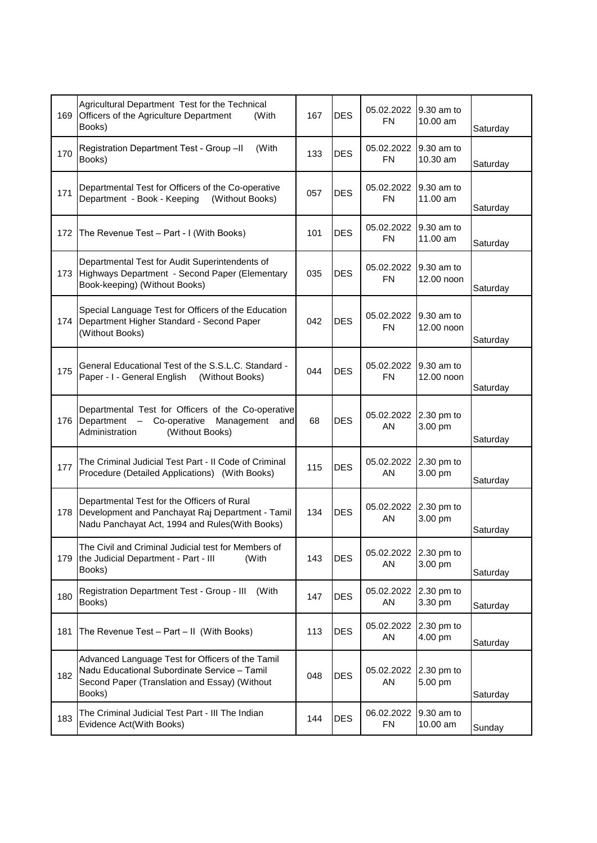| 169 | Agricultural Department Test for the Technical<br>Officers of the Agriculture Department<br>(With<br>Books)                                                     | 167 | <b>DES</b> | 05.02.2022<br><b>FN</b> | 9.30 am to<br>$10.00$ am | Saturday |
|-----|-----------------------------------------------------------------------------------------------------------------------------------------------------------------|-----|------------|-------------------------|--------------------------|----------|
| 170 | (With<br>Registration Department Test - Group -II<br>Books)                                                                                                     | 133 | <b>DES</b> | 05.02.2022<br>FN        | 9.30 am to<br>10.30 am   | Saturday |
| 171 | Departmental Test for Officers of the Co-operative<br>Department - Book - Keeping<br>(Without Books)                                                            | 057 | <b>DES</b> | 05.02.2022<br><b>FN</b> | 9.30 am to<br>11.00 am   | Saturday |
| 172 | The Revenue Test - Part - I (With Books)                                                                                                                        | 101 | <b>DES</b> | 05.02.2022<br><b>FN</b> | 9.30 am to<br>11.00 am   | Saturday |
| 173 | Departmental Test for Audit Superintendents of<br>Highways Department - Second Paper (Elementary<br>Book-keeping) (Without Books)                               | 035 | <b>DES</b> | 05.02.2022<br>FN        | 9.30 am to<br>12.00 noon | Saturday |
| 174 | Special Language Test for Officers of the Education<br>Department Higher Standard - Second Paper<br>(Without Books)                                             | 042 | <b>DES</b> | 05.02.2022<br>FN        | 9.30 am to<br>12.00 noon | Saturday |
| 175 | General Educational Test of the S.S.L.C. Standard -<br>Paper - I - General English<br>(Without Books)                                                           | 044 | <b>DES</b> | 05.02.2022<br>FN        | 9.30 am to<br>12.00 noon | Saturday |
| 176 | Departmental Test for Officers of the Co-operative<br>Co-operative<br>Management<br>Department<br>$\qquad \qquad -$<br>and<br>Administration<br>(Without Books) | 68  | <b>DES</b> | 05.02.2022<br>AN        | 2.30 pm to<br>3.00 pm    | Saturday |
| 177 | The Criminal Judicial Test Part - II Code of Criminal<br>Procedure (Detailed Applications) (With Books)                                                         | 115 | <b>DES</b> | 05.02.2022<br>AN        | 2.30 pm to<br>3.00 pm    | Saturday |
| 178 | Departmental Test for the Officers of Rural<br>Development and Panchayat Raj Department - Tamil<br>Nadu Panchayat Act, 1994 and Rules(With Books)               | 134 | <b>DES</b> | 05.02.2022<br>AN        | 2.30 pm to<br>3.00 pm    | Saturday |
| 179 | The Civil and Criminal Judicial test for Members of<br>the Judicial Department - Part - III<br>(With<br>Books)                                                  | 143 | <b>DES</b> | 05.02.2022<br>AN        | 2.30 pm to<br>3.00 pm    | Saturday |
| 180 | Registration Department Test - Group - III<br>(With<br>Books)                                                                                                   | 147 | <b>DES</b> | 05.02.2022<br>AN        | 2.30 pm to<br>3.30 pm    | Saturday |
| 181 | The Revenue Test - Part - II (With Books)                                                                                                                       | 113 | <b>DES</b> | 05.02.2022<br>AN        | 2.30 pm to<br>4.00 pm    | Saturday |
| 182 | Advanced Language Test for Officers of the Tamil<br>Nadu Educational Subordinate Service - Tamil<br>Second Paper (Translation and Essay) (Without<br>Books)     | 048 | <b>DES</b> | 05.02.2022<br>AN        | 2.30 pm to<br>5.00 pm    | Saturday |
| 183 | The Criminal Judicial Test Part - III The Indian<br>Evidence Act(With Books)                                                                                    | 144 | <b>DES</b> | 06.02.2022<br><b>FN</b> | 9.30 am to<br>10.00 am   | Sunday   |